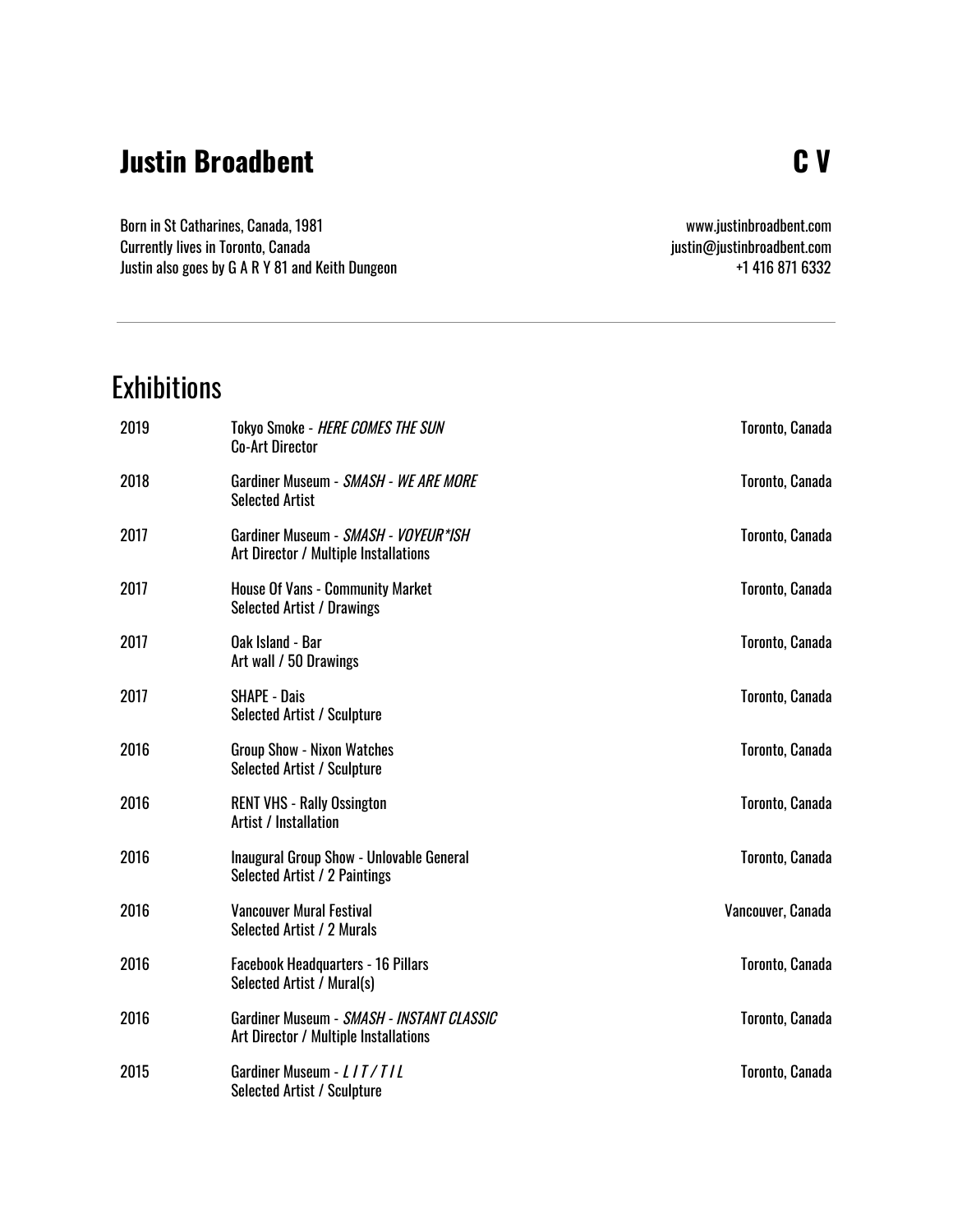#### **Justin Broadbent**

Born in St Catharines, Canada, 1981 Currently lives in Toronto, Canada Justin also goes by G A R Y 81 and Keith Dungeon

www.justinbroadbent.com [justin@justinbroadbent.com](mailto:justin@justinbroadbent.com) +1 416 871 6332

## **Exhibitions**

| 2019 | <b>Tokyo Smoke - HERE COMES THE SUN</b><br><b>Co-Art Director</b>                  | Toronto, Canada   |
|------|------------------------------------------------------------------------------------|-------------------|
| 2018 | Gardiner Museum - SMASH - WE ARE MORE<br><b>Selected Artist</b>                    | Toronto, Canada   |
| 2017 | Gardiner Museum - SMASH - VOYEUR*ISH<br>Art Director / Multiple Installations      | Toronto, Canada   |
| 2017 | <b>House Of Vans - Community Market</b><br><b>Selected Artist / Drawings</b>       | Toronto, Canada   |
| 2017 | Oak Island - Bar<br>Art wall / 50 Drawings                                         | Toronto, Canada   |
| 2017 | <b>SHAPE - Dais</b><br><b>Selected Artist / Sculpture</b>                          | Toronto, Canada   |
| 2016 | <b>Group Show - Nixon Watches</b><br><b>Selected Artist / Sculpture</b>            | Toronto, Canada   |
| 2016 | <b>RENT VHS - Rally Ossington</b><br><b>Artist / Installation</b>                  | Toronto, Canada   |
| 2016 | Inaugural Group Show - Unlovable General<br>Selected Artist / 2 Paintings          | Toronto, Canada   |
| 2016 | <b>Vancouver Mural Festival</b><br>Selected Artist / 2 Murals                      | Vancouver, Canada |
| 2016 | <b>Facebook Headquarters - 16 Pillars</b><br>Selected Artist / Mural(s)            | Toronto, Canada   |
| 2016 | Gardiner Museum - SMASH - INSTANT CLASSIC<br>Art Director / Multiple Installations | Toronto, Canada   |
| 2015 | Gardiner Museum - LIT/TIL<br><b>Selected Artist / Sculpture</b>                    | Toronto, Canada   |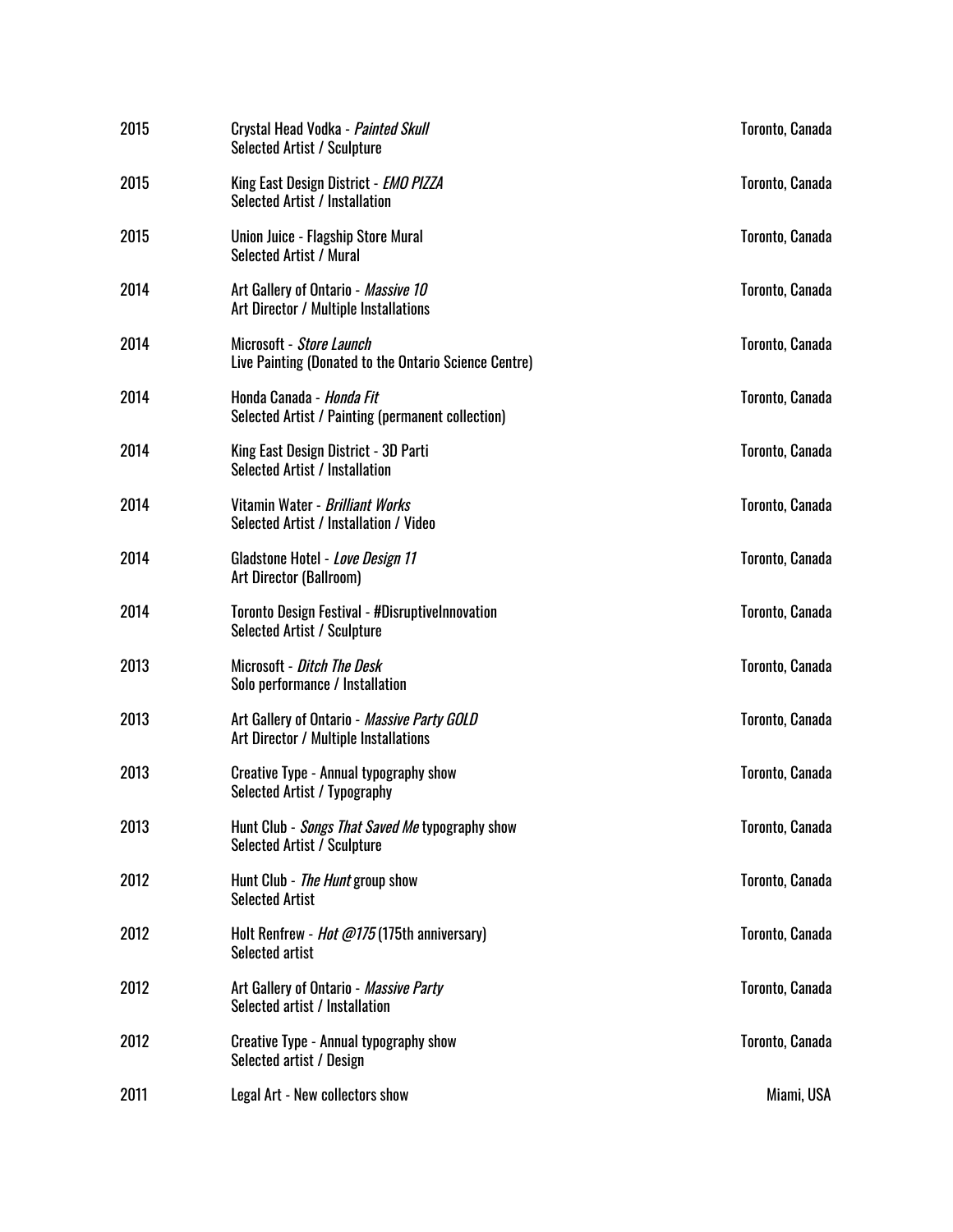| 2015 | Crystal Head Vodka - Painted Skull<br>Selected Artist / Sculpture                     | Toronto, Canada |
|------|---------------------------------------------------------------------------------------|-----------------|
| 2015 | King East Design District - EMO PIZZA<br><b>Selected Artist / Installation</b>        | Toronto, Canada |
| 2015 | Union Juice - Flagship Store Mural<br><b>Selected Artist / Mural</b>                  | Toronto, Canada |
| 2014 | Art Gallery of Ontario - Massive 10<br>Art Director / Multiple Installations          | Toronto, Canada |
| 2014 | Microsoft - Store Launch<br>Live Painting (Donated to the Ontario Science Centre)     | Toronto, Canada |
| 2014 | Honda Canada - Honda Fit<br>Selected Artist / Painting (permanent collection)         | Toronto, Canada |
| 2014 | King East Design District - 3D Parti<br><b>Selected Artist / Installation</b>         | Toronto, Canada |
| 2014 | Vitamin Water - Brilliant Works<br>Selected Artist / Installation / Video             | Toronto, Canada |
| 2014 | Gladstone Hotel - Love Design 11<br>Art Director (Ballroom)                           | Toronto, Canada |
| 2014 | <b>Toronto Design Festival - #Disruptivelnnovation</b><br>Selected Artist / Sculpture | Toronto, Canada |
| 2013 | Microsoft - Ditch The Desk<br>Solo performance / Installation                         | Toronto, Canada |
| 2013 | Art Gallery of Ontario - Massive Party GOLD<br>Art Director / Multiple Installations  | Toronto, Canada |
| 2013 | <b>Creative Type - Annual typography show</b><br>Selected Artist / Typography         | Toronto, Canada |
| 2013 | Hunt Club - Songs That Saved Me typography show<br><b>Selected Artist / Sculpture</b> | Toronto, Canada |
| 2012 | Hunt Club - <i>The Hunt</i> group show<br><b>Selected Artist</b>                      | Toronto, Canada |
| 2012 | Holt Renfrew - <i>Hot @175</i> (175th anniversary)<br>Selected artist                 | Toronto, Canada |
| 2012 | Art Gallery of Ontario - Massive Party<br>Selected artist / Installation              | Toronto, Canada |
| 2012 | <b>Creative Type - Annual typography show</b><br>Selected artist / Design             | Toronto, Canada |
| 2011 | Legal Art - New collectors show                                                       | Miami, USA      |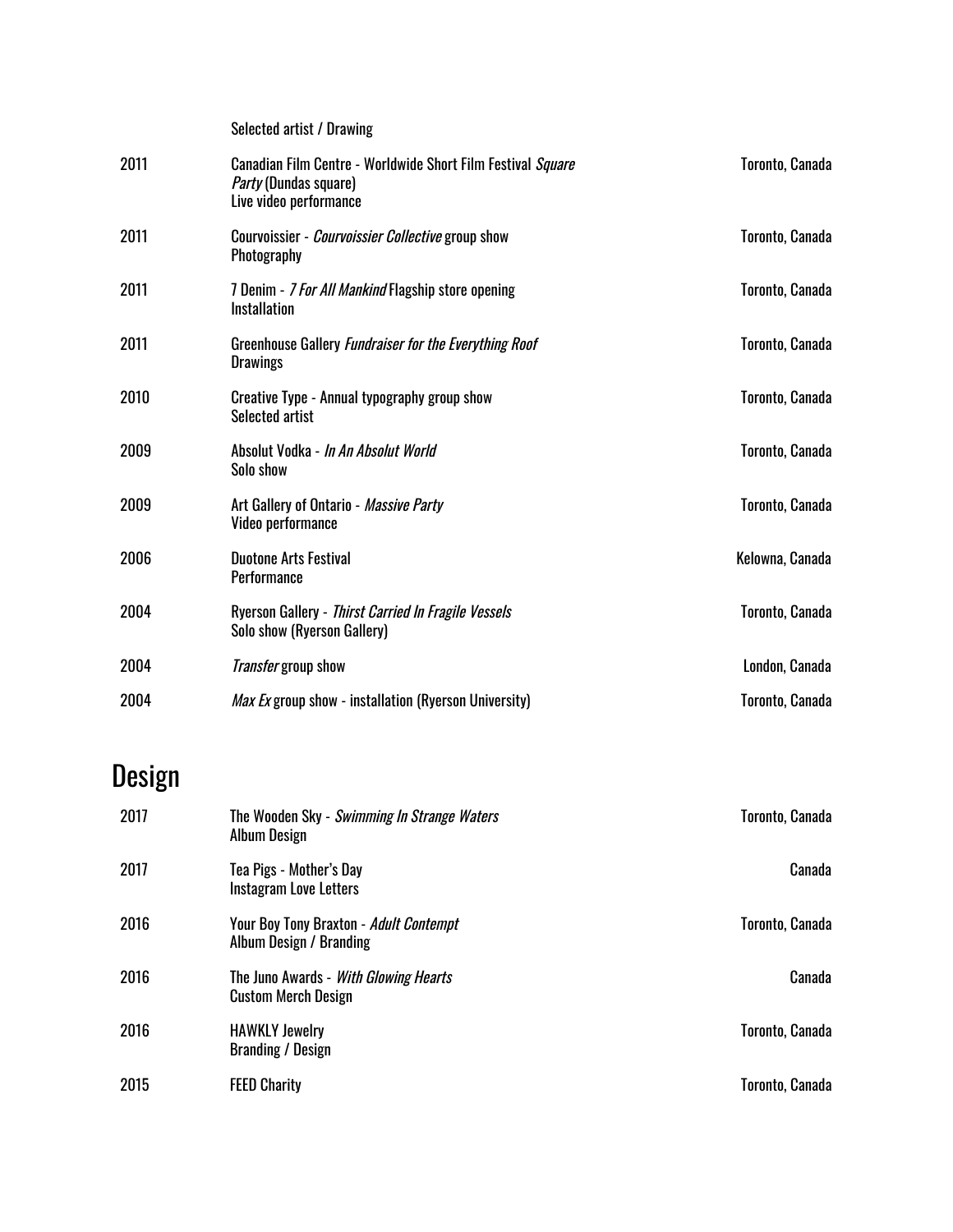|      | Selected artist / Drawing                                                                                             |                 |
|------|-----------------------------------------------------------------------------------------------------------------------|-----------------|
| 2011 | Canadian Film Centre - Worldwide Short Film Festival Square<br><i>Party</i> (Dundas square)<br>Live video performance | Toronto, Canada |
| 2011 | Courvoissier - Courvoissier Collective group show<br>Photography                                                      | Toronto, Canada |
| 2011 | 7 Denim - 7 For All Mankind Flagship store opening<br><b>Installation</b>                                             | Toronto, Canada |
| 2011 | Greenhouse Gallery Fundraiser for the Everything Roof<br><b>Drawings</b>                                              | Toronto, Canada |
| 2010 | Creative Type - Annual typography group show<br>Selected artist                                                       | Toronto, Canada |
| 2009 | Absolut Vodka - In An Absolut World<br>Solo show                                                                      | Toronto, Canada |
| 2009 | Art Gallery of Ontario - Massive Party<br>Video performance                                                           | Toronto, Canada |
| 2006 | <b>Duotone Arts Festival</b><br><b>Performance</b>                                                                    | Kelowna, Canada |
| 2004 | Ryerson Gallery - Thirst Carried In Fragile Vessels<br>Solo show (Ryerson Gallery)                                    | Toronto, Canada |
| 2004 | <i>Transfer</i> group show                                                                                            | London, Canada  |
| 2004 | <i>Max Ex</i> group show - installation (Ryerson University)                                                          | Toronto, Canada |
|      |                                                                                                                       |                 |

# Design

| 2017 | The Wooden Sky - Swimming In Strange Waters<br><b>Album Design</b>         | Toronto, Canada |
|------|----------------------------------------------------------------------------|-----------------|
| 2017 | Tea Pigs - Mother's Day<br>Instagram Love Letters                          | Canada          |
| 2016 | <b>Your Boy Tony Braxton - Adult Contempt</b><br>Album Design / Branding   | Toronto, Canada |
| 2016 | The Juno Awards - <i>With Glowing Hearts</i><br><b>Custom Merch Design</b> | Canada          |
| 2016 | <b>HAWKLY Jewelry</b><br><b>Branding / Design</b>                          | Toronto, Canada |
| 2015 | <b>FEED Charity</b>                                                        | Toronto, Canada |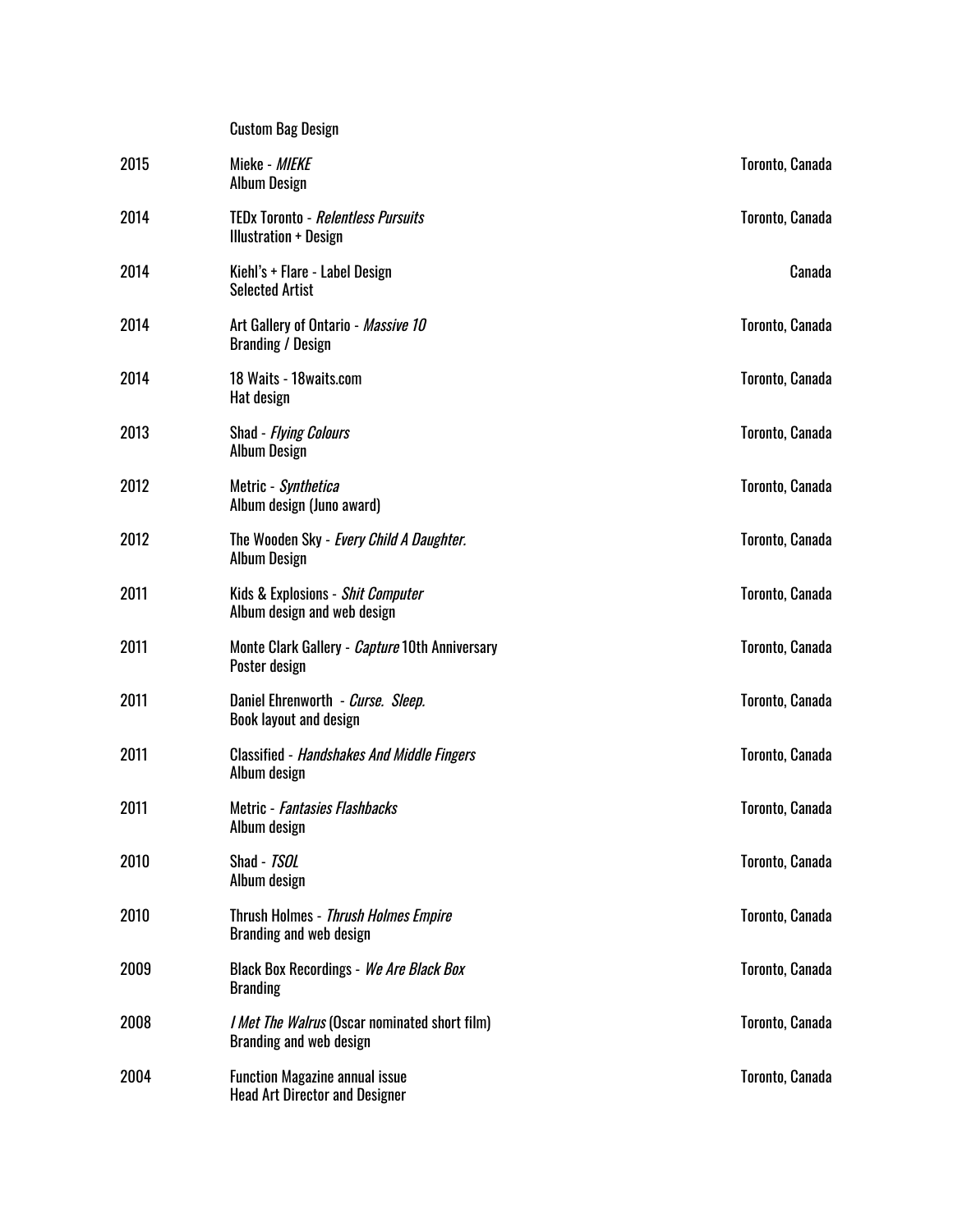|      | <b>Custom Bag Design</b>                                                        |                 |
|------|---------------------------------------------------------------------------------|-----------------|
| 2015 | Mieke - MIEKE<br><b>Album Design</b>                                            | Toronto, Canada |
| 2014 | <b>TEDx Toronto - Relentless Pursuits</b><br><b>Illustration + Design</b>       | Toronto, Canada |
| 2014 | Kiehl's + Flare - Label Design<br><b>Selected Artist</b>                        | Canada          |
| 2014 | Art Gallery of Ontario - Massive 10<br><b>Branding / Design</b>                 | Toronto, Canada |
| 2014 | 18 Waits - 18 waits.com<br>Hat design                                           | Toronto, Canada |
| 2013 | Shad - <i>Flying Colours</i><br><b>Album Design</b>                             | Toronto, Canada |
| 2012 | Metric - <i>Synthetica</i><br>Album design (Juno award)                         | Toronto, Canada |
| 2012 | The Wooden Sky - Every Child A Daughter.<br><b>Album Design</b>                 | Toronto, Canada |
| 2011 | Kids & Explosions - Shit Computer<br>Album design and web design                | Toronto, Canada |
| 2011 | Monte Clark Gallery - <i>Capture</i> 10th Anniversary<br>Poster design          | Toronto, Canada |
| 2011 | Daniel Ehrenworth - Curse. Sleep.<br><b>Book layout and design</b>              | Toronto, Canada |
| 2011 | <b>Classified - Handshakes And Middle Fingers</b><br>Album design               | Toronto, Canada |
| 2011 | Metric - <i>Fantasies Flashbacks</i><br>Album design                            | Toronto, Canada |
| 2010 | Shad - TSOL<br>Album design                                                     | Toronto, Canada |
| 2010 | Thrush Holmes - Thrush Holmes Empire<br>Branding and web design                 | Toronto, Canada |
| 2009 | <b>Black Box Recordings - We Are Black Box</b><br><b>Branding</b>               | Toronto, Canada |
| 2008 | <i>I Met The Walrus</i> (Oscar nominated short film)<br>Branding and web design | Toronto, Canada |
| 2004 | <b>Function Magazine annual issue</b><br><b>Head Art Director and Designer</b>  | Toronto, Canada |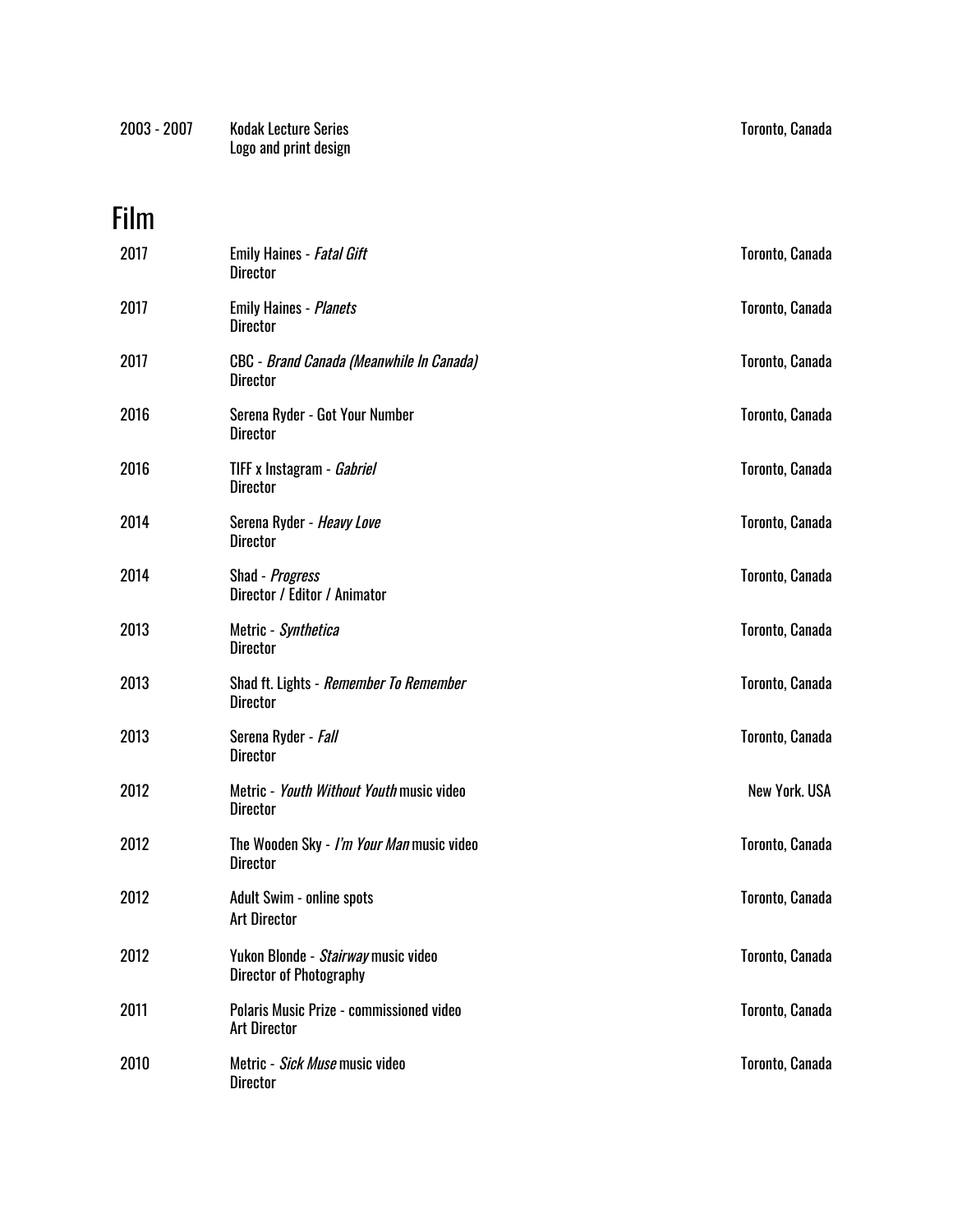| 2003 - 2007 | <b>Kodak Lecture Series</b> | Toronto, Canada |
|-------------|-----------------------------|-----------------|
|             | Logo and print design       |                 |

# Film

| 2017 | <b>Emily Haines - Fatal Gift</b><br>Director                          | Toronto, Canada      |
|------|-----------------------------------------------------------------------|----------------------|
| 2017 | <b>Emily Haines - Planets</b><br><b>Director</b>                      | Toronto, Canada      |
| 2017 | CBC - Brand Canada (Meanwhile In Canada)<br><b>Director</b>           | Toronto, Canada      |
| 2016 | Serena Ryder - Got Your Number<br><b>Director</b>                     | Toronto, Canada      |
| 2016 | TIFF x Instagram - Gabriel<br><b>Director</b>                         | Toronto, Canada      |
| 2014 | Serena Ryder - <i>Heavy Love</i><br><b>Director</b>                   | Toronto, Canada      |
| 2014 | Shad - Progress<br>Director / Editor / Animator                       | Toronto, Canada      |
| 2013 | Metric - Synthetica<br><b>Director</b>                                | Toronto, Canada      |
| 2013 | Shad ft. Lights - Remember To Remember<br><b>Director</b>             | Toronto, Canada      |
| 2013 | Serena Ryder - Fall<br><b>Director</b>                                | Toronto, Canada      |
| 2012 | Metric - Youth Without Youth music video<br><b>Director</b>           | <b>New York. USA</b> |
| 2012 | The Wooden Sky - I'm Your Man music video<br><b>Director</b>          | Toronto, Canada      |
| 2012 | <b>Adult Swim - online spots</b><br><b>Art Director</b>               | Toronto, Canada      |
| 2012 | Yukon Blonde - Stairway music video<br><b>Director of Photography</b> | Toronto, Canada      |
| 2011 | Polaris Music Prize - commissioned video<br><b>Art Director</b>       | Toronto, Canada      |
| 2010 | Metric - Sick Muse music video<br><b>Director</b>                     | Toronto, Canada      |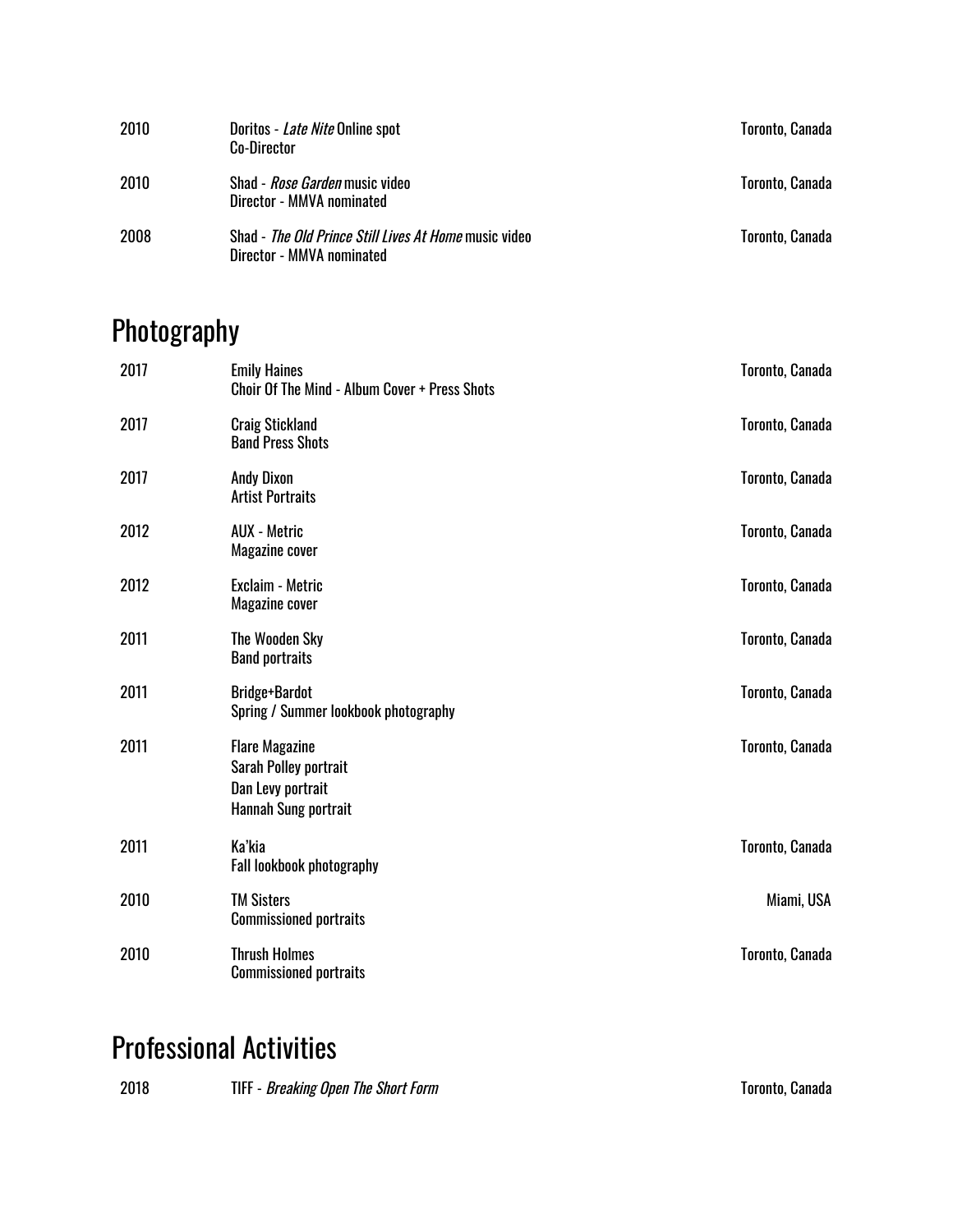| 2010 | Doritos - <i>Late Nite</i> Online spot<br><b>Co-Director</b>                       | Toronto, Canada |
|------|------------------------------------------------------------------------------------|-----------------|
| 2010 | Shad - <i>Rose Garden</i> music video<br>Director - MMVA nominated                 | Toronto, Canada |
| 2008 | Shad - The Old Prince Still Lives At Home music video<br>Director - MMVA nominated | Toronto, Canada |

# Photography

| 2017 | <b>Emily Haines</b><br>Choir Of The Mind - Album Cover + Press Shots                        | Toronto, Canada |
|------|---------------------------------------------------------------------------------------------|-----------------|
| 2017 | <b>Craig Stickland</b><br><b>Band Press Shots</b>                                           | Toronto, Canada |
| 2017 | <b>Andy Dixon</b><br><b>Artist Portraits</b>                                                | Toronto, Canada |
| 2012 | <b>AUX</b> - Metric<br>Magazine cover                                                       | Toronto, Canada |
| 2012 | Exclaim - Metric<br>Magazine cover                                                          | Toronto, Canada |
| 2011 | <b>The Wooden Sky</b><br><b>Band portraits</b>                                              | Toronto, Canada |
| 2011 | <b>Bridge+Bardot</b><br>Spring / Summer lookbook photography                                | Toronto, Canada |
| 2011 | <b>Flare Magazine</b><br>Sarah Polley portrait<br>Dan Levy portrait<br>Hannah Sung portrait | Toronto, Canada |
| 2011 | Ka'kia<br>Fall lookbook photography                                                         | Toronto, Canada |
| 2010 | <b>TM Sisters</b><br><b>Commissioned portraits</b>                                          | Miami, USA      |
| 2010 | <b>Thrush Holmes</b><br><b>Commissioned portraits</b>                                       | Toronto, Canada |

## Professional Activities

| 2018<br><b>TIFF</b> - <i>Breaking Open The Short Form</i> | <b>Toronto, Canada</b> |
|-----------------------------------------------------------|------------------------|
|-----------------------------------------------------------|------------------------|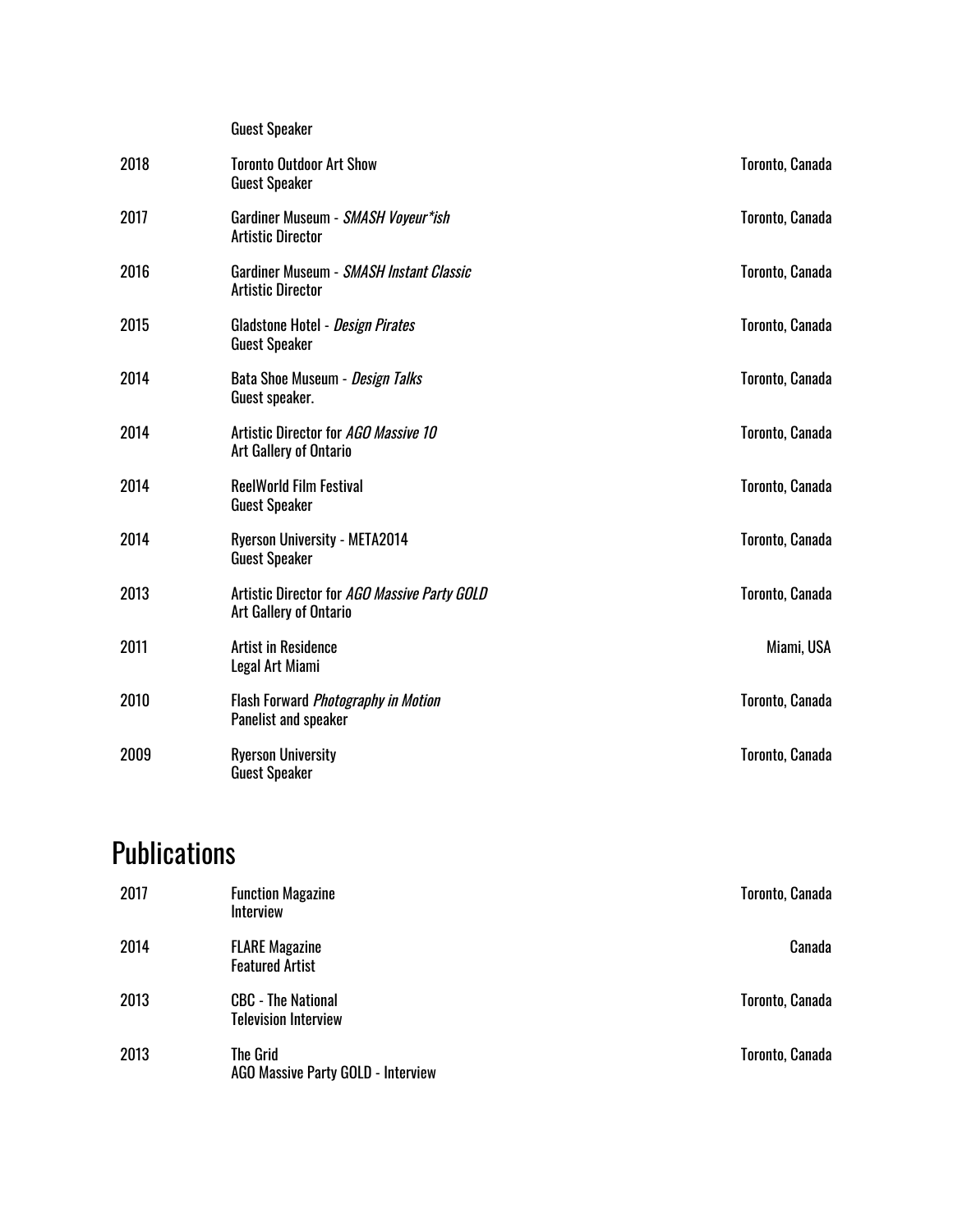|      | <b>Guest Speaker</b>                                                          |                 |
|------|-------------------------------------------------------------------------------|-----------------|
| 2018 | <b>Toronto Outdoor Art Show</b><br><b>Guest Speaker</b>                       | Toronto, Canada |
| 2017 | Gardiner Museum - SMASH Voyeur*ish<br><b>Artistic Director</b>                | Toronto, Canada |
| 2016 | Gardiner Museum - SMASH Instant Classic<br><b>Artistic Director</b>           | Toronto, Canada |
| 2015 | Gladstone Hotel - Design Pirates<br><b>Guest Speaker</b>                      | Toronto, Canada |
| 2014 | Bata Shoe Museum - Design Talks<br>Guest speaker.                             | Toronto, Canada |
| 2014 | Artistic Director for AGO Massive 10<br>Art Gallery of Ontario                | Toronto, Canada |
| 2014 | <b>ReelWorld Film Festival</b><br><b>Guest Speaker</b>                        | Toronto, Canada |
| 2014 | <b>Ryerson University - META2014</b><br><b>Guest Speaker</b>                  | Toronto, Canada |
| 2013 | Artistic Director for AGO Massive Party GOLD<br><b>Art Gallery of Ontario</b> | Toronto, Canada |
| 2011 | <b>Artist in Residence</b><br>Legal Art Miami                                 | Miami, USA      |
| 2010 | Flash Forward Photography in Motion<br>Panelist and speaker                   | Toronto, Canada |
| 2009 | <b>Ryerson University</b><br><b>Guest Speaker</b>                             | Toronto, Canada |

## **Publications**

| 2017 | <b>Function Magazine</b><br><b>Interview</b>             | Toronto, Canada |
|------|----------------------------------------------------------|-----------------|
| 2014 | <b>FLARE Magazine</b><br><b>Featured Artist</b>          | Canada          |
| 2013 | <b>CBC - The National</b><br><b>Television Interview</b> | Toronto, Canada |
| 2013 | <b>The Grid</b><br>AGO Massive Party GOLD - Interview    | Toronto, Canada |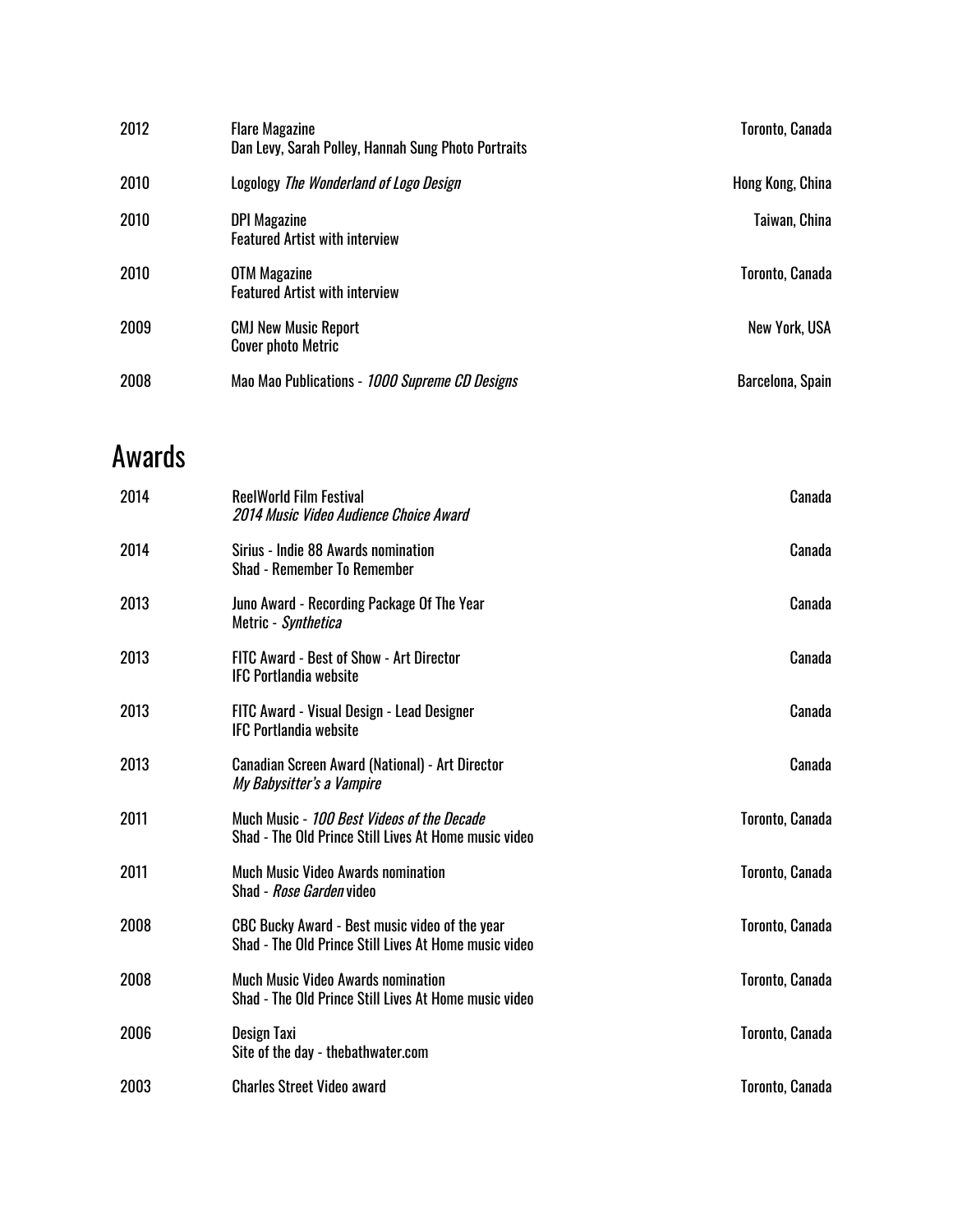| 2012 | <b>Flare Magazine</b><br>Dan Levy, Sarah Polley, Hannah Sung Photo Portraits | Toronto, Canada      |
|------|------------------------------------------------------------------------------|----------------------|
| 2010 | Logology The Wonderland of Logo Design                                       | Hong Kong, China     |
| 2010 | <b>DPI Magazine</b><br><b>Featured Artist with interview</b>                 | Taiwan, China        |
| 2010 | <b>OTM Magazine</b><br><b>Featured Artist with interview</b>                 | Toronto, Canada      |
| 2009 | <b>CMJ New Music Report</b><br><b>Cover photo Metric</b>                     | <b>New York, USA</b> |
| 2008 | Mao Mao Publications - 1000 Supreme CD Designs                               | Barcelona, Spain     |

#### Awards

| 2014 | <b>ReelWorld Film Festival</b><br>2014 Music Video Audience Choice Award                                | Canada          |
|------|---------------------------------------------------------------------------------------------------------|-----------------|
| 2014 | Sirius - Indie 88 Awards nomination<br><b>Shad - Remember To Remember</b>                               | Canada          |
| 2013 | Juno Award - Recording Package Of The Year<br>Metric - Synthetica                                       | Canada          |
| 2013 | <b>FITC Award - Best of Show - Art Director</b><br><b>IFC Portlandia website</b>                        | Canada          |
| 2013 | FITC Award - Visual Design - Lead Designer<br><b>IFC Portlandia website</b>                             | Canada          |
| 2013 | <b>Canadian Screen Award (National) - Art Director</b><br>My Babysitter's a Vampire                     | Canada          |
| 2011 | Much Music - 100 Best Videos of the Decade<br>Shad - The Old Prince Still Lives At Home music video     | Toronto, Canada |
| 2011 | <b>Much Music Video Awards nomination</b><br>Shad - <i>Rose Garden</i> video                            | Toronto, Canada |
| 2008 | CBC Bucky Award - Best music video of the year<br>Shad - The Old Prince Still Lives At Home music video | Toronto, Canada |
| 2008 | <b>Much Music Video Awards nomination</b><br>Shad - The Old Prince Still Lives At Home music video      | Toronto, Canada |
| 2006 | Design Taxi<br>Site of the day - thebathwater.com                                                       | Toronto, Canada |
| 2003 | <b>Charles Street Video award</b>                                                                       | Toronto, Canada |